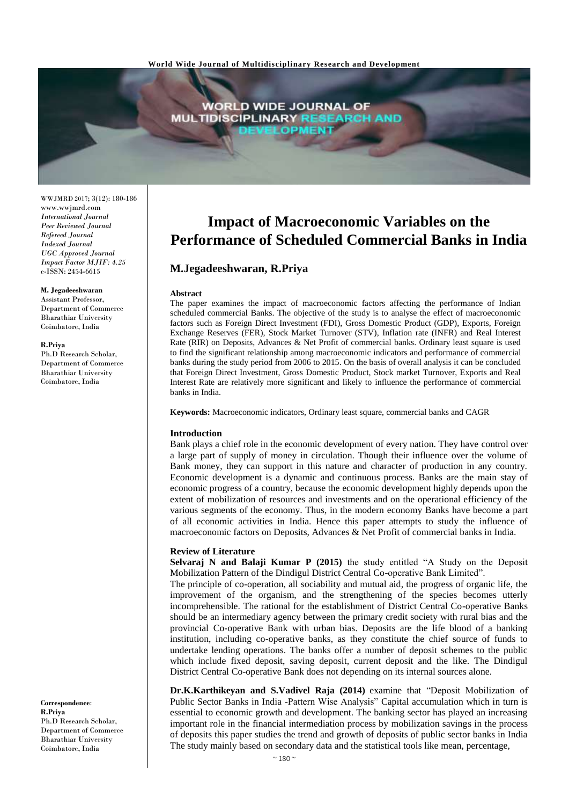

WWJMRD 2017; 3(12): 180-186 www.wwjmrd.com *International Journal Peer Reviewed Journal Refereed Journal Indexed Journal UGC Approved Journal Impact Factor MJIF: 4.25* e-ISSN: 2454-6615

#### **M. Jegadeeshwaran**

Assistant Professor, Department of Commerce Bharathiar University Coimbatore, India

#### **R.Priya**

Ph.D Research Scholar, Department of Commerce Bharathiar University Coimbatore, India

**Correspondence**: **R.Priya** Ph.D Research Scholar, Department of Commerce Bharathiar University Coimbatore, India

# **Impact of Macroeconomic Variables on the Performance of Scheduled Commercial Banks in India**

# **M.Jegadeeshwaran, R.Priya**

#### **Abstract**

The paper examines the impact of macroeconomic factors affecting the performance of Indian scheduled commercial Banks. The objective of the study is to analyse the effect of macroeconomic factors such as Foreign Direct Investment (FDI), Gross Domestic Product (GDP), Exports, Foreign Exchange Reserves (FER), Stock Market Turnover (STV), Inflation rate (INFR) and Real Interest Rate (RIR) on Deposits, Advances & Net Profit of commercial banks. Ordinary least square is used to find the significant relationship among macroeconomic indicators and performance of commercial banks during the study period from 2006 to 2015. On the basis of overall analysis it can be concluded that Foreign Direct Investment, Gross Domestic Product, Stock market Turnover, Exports and Real Interest Rate are relatively more significant and likely to influence the performance of commercial banks in India.

**Keywords:** Macroeconomic indicators, Ordinary least square, commercial banks and CAGR

#### **Introduction**

Bank plays a chief role in the economic development of every nation. They have control over a large part of supply of money in circulation. Though their influence over the volume of Bank money, they can support in this nature and character of production in any country. Economic development is a dynamic and continuous process. Banks are the main stay of economic progress of a country, because the economic development highly depends upon the extent of mobilization of resources and investments and on the operational efficiency of the various segments of the economy. Thus, in the modern economy Banks have become a part of all economic activities in India. Hence this paper attempts to study the influence of macroeconomic factors on Deposits, Advances & Net Profit of commercial banks in India.

#### **Review of Literature**

**Selvaraj N and Balaji Kumar P (2015)** the study entitled "A Study on the Deposit Mobilization Pattern of the Dindigul District Central Co-operative Bank Limited".

The principle of co-operation, all sociability and mutual aid, the progress of organic life, the improvement of the organism, and the strengthening of the species becomes utterly incomprehensible. The rational for the establishment of District Central Co-operative Banks should be an intermediary agency between the primary credit society with rural bias and the provincial Co-operative Bank with urban bias. Deposits are the life blood of a banking institution, including co-operative banks, as they constitute the chief source of funds to undertake lending operations. The banks offer a number of deposit schemes to the public which include fixed deposit, saving deposit, current deposit and the like. The Dindigul District Central Co-operative Bank does not depending on its internal sources alone.

**Dr.K.Karthikeyan and S.Vadivel Raja (2014)** examine that "Deposit Mobilization of Public Sector Banks in India -Pattern Wise Analysis" Capital accumulation which in turn is essential to economic growth and development. The banking sector has played an increasing important role in the financial intermediation process by mobilization savings in the process of deposits this paper studies the trend and growth of deposits of public sector banks in India The study mainly based on secondary data and the statistical tools like mean, percentage,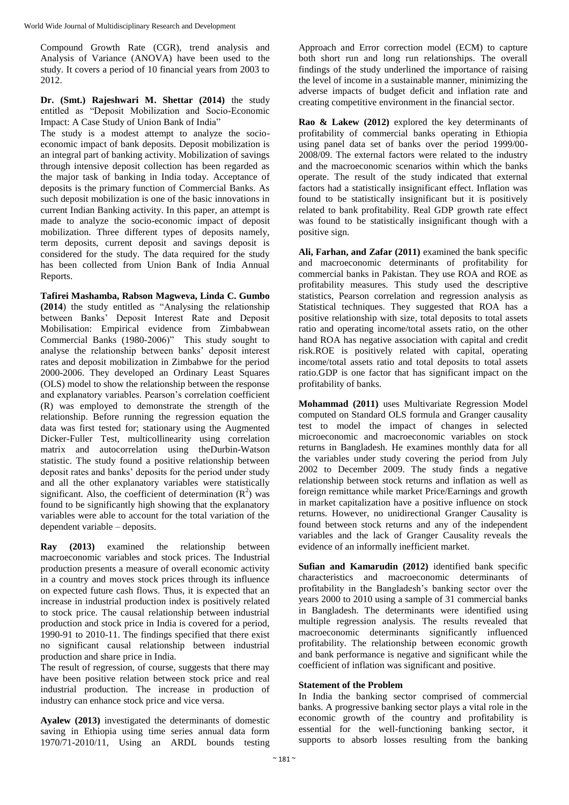Compound Growth Rate (CGR), trend analysis and Analysis of Variance (ANOVA) have been used to the study. It covers a period of 10 financial years from 2003 to 2012.

**Dr. (Smt.) Rajeshwari M. Shettar (2014)** the study entitled as "Deposit Mobilization and Socio-Economic Impact: A Case Study of Union Bank of India"

The study is a modest attempt to analyze the socioeconomic impact of bank deposits. Deposit mobilization is an integral part of banking activity. Mobilization of savings through intensive deposit collection has been regarded as the major task of banking in India today. Acceptance of deposits is the primary function of Commercial Banks. As such deposit mobilization is one of the basic innovations in current Indian Banking activity. In this paper, an attempt is made to analyze the socio-economic impact of deposit mobilization. Three different types of deposits namely, term deposits, current deposit and savings deposit is considered for the study. The data required for the study has been collected from Union Bank of India Annual Reports.

**Tafirei Mashamba, Rabson Magweva, Linda C. Gumbo (2014**) the study entitled as "Analysing the relationship between Banks' Deposit Interest Rate and Deposit Mobilisation: Empirical evidence from Zimbabwean Commercial Banks (1980-2006)" This study sought to analyse the relationship between banks' deposit interest rates and deposit mobilization in Zimbabwe for the period 2000-2006. They developed an Ordinary Least Squares (OLS) model to show the relationship between the response and explanatory variables. Pearson's correlation coefficient (R) was employed to demonstrate the strength of the relationship. Before running the regression equation the data was first tested for; stationary using the Augmented Dicker-Fuller Test, multicollinearity using correlation matrix and autocorrelation using theDurbin-Watson statistic. The study found a positive relationship between deposit rates and banks' deposits for the period under study and all the other explanatory variables were statistically significant. Also, the coefficient of determination  $(R^2)$  was found to be significantly high showing that the explanatory variables were able to account for the total variation of the dependent variable – deposits.

**Ray (2013)** examined the relationship between macroeconomic variables and stock prices. The Industrial production presents a measure of overall economic activity in a country and moves stock prices through its influence on expected future cash flows. Thus, it is expected that an increase in industrial production index is positively related to stock price. The causal relationship between industrial production and stock price in India is covered for a period, 1990-91 to 2010-11. The findings specified that there exist no significant causal relationship between industrial production and share price in India.

The result of regression, of course, suggests that there may have been positive relation between stock price and real industrial production. The increase in production of industry can enhance stock price and vice versa.

**Ayalew (2013)** investigated the determinants of domestic saving in Ethiopia using time series annual data form 1970/71-2010/11, Using an ARDL bounds testing

Approach and Error correction model (ECM) to capture both short run and long run relationships. The overall findings of the study underlined the importance of raising the level of income in a sustainable manner, minimizing the adverse impacts of budget deficit and inflation rate and creating competitive environment in the financial sector.

**Rao & Lakew (2012)** explored the key determinants of profitability of commercial banks operating in Ethiopia using panel data set of banks over the period 1999/00- 2008/09. The external factors were related to the industry and the macroeconomic scenarios within which the banks operate. The result of the study indicated that external factors had a statistically insignificant effect. Inflation was found to be statistically insignificant but it is positively related to bank profitability. Real GDP growth rate effect was found to be statistically insignificant though with a positive sign.

**Ali, Farhan, and Zafar (2011)** examined the bank specific and macroeconomic determinants of profitability for commercial banks in Pakistan. They use ROA and ROE as profitability measures. This study used the descriptive statistics, Pearson correlation and regression analysis as Statistical techniques. They suggested that ROA has a positive relationship with size, total deposits to total assets ratio and operating income/total assets ratio, on the other hand ROA has negative association with capital and credit risk.ROE is positively related with capital, operating income/total assets ratio and total deposits to total assets ratio.GDP is one factor that has significant impact on the profitability of banks.

**Mohammad (2011)** uses Multivariate Regression Model computed on Standard OLS formula and Granger causality test to model the impact of changes in selected microeconomic and macroeconomic variables on stock returns in Bangladesh. He examines monthly data for all the variables under study covering the period from July 2002 to December 2009. The study finds a negative relationship between stock returns and inflation as well as foreign remittance while market Price/Earnings and growth in market capitalization have a positive influence on stock returns. However, no unidirectional Granger Causality is found between stock returns and any of the independent variables and the lack of Granger Causality reveals the evidence of an informally inefficient market.

**Sufian and Kamarudin (2012)** identified bank specific characteristics and macroeconomic determinants of profitability in the Bangladesh's banking sector over the years 2000 to 2010 using a sample of 31 commercial banks in Bangladesh. The determinants were identified using multiple regression analysis. The results revealed that macroeconomic determinants significantly influenced profitability. The relationship between economic growth and bank performance is negative and significant while the coefficient of inflation was significant and positive.

## **Statement of the Problem**

In India the banking sector comprised of commercial banks. A progressive banking sector plays a vital role in the economic growth of the country and profitability is essential for the well-functioning banking sector, it supports to absorb losses resulting from the banking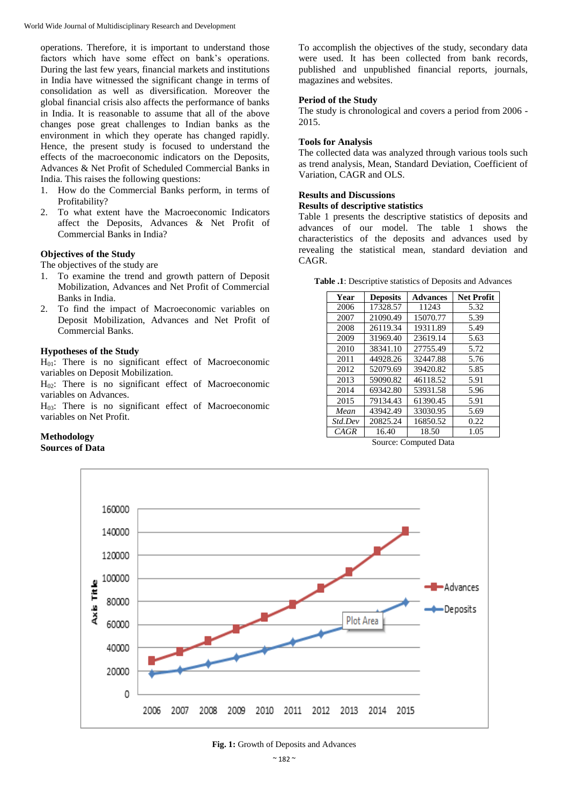operations. Therefore, it is important to understand those factors which have some effect on bank's operations. During the last few years, financial markets and institutions in India have witnessed the significant change in terms of consolidation as well as diversification. Moreover the global financial crisis also affects the performance of banks in India. It is reasonable to assume that all of the above changes pose great challenges to Indian banks as the environment in which they operate has changed rapidly. Hence, the present study is focused to understand the effects of the macroeconomic indicators on the Deposits, Advances & Net Profit of Scheduled Commercial Banks in India. This raises the following questions:

- 1. How do the Commercial Banks perform, in terms of Profitability?
- 2. To what extent have the Macroeconomic Indicators affect the Deposits, Advances & Net Profit of Commercial Banks in India?

## **Objectives of the Study**

The objectives of the study are

- 1. To examine the trend and growth pattern of Deposit Mobilization, Advances and Net Profit of Commercial Banks in India.
- 2. To find the impact of Macroeconomic variables on Deposit Mobilization, Advances and Net Profit of Commercial Banks.

## **Hypotheses of the Study**

 $H<sub>01</sub>$ : There is no significant effect of Macroeconomic variables on Deposit Mobilization.

 $H_0$ : There is no significant effect of Macroeconomic variables on Advances.

 $H<sub>03</sub>$ : There is no significant effect of Macroeconomic variables on Net Profit.

### **Methodology Sources of Data**

To accomplish the objectives of the study, secondary data were used. It has been collected from bank records, published and unpublished financial reports, journals, magazines and websites.

## **Period of the Study**

The study is chronological and covers a period from 2006 - 2015.

## **Tools for Analysis**

The collected data was analyzed through various tools such as trend analysis, Mean, Standard Deviation, Coefficient of Variation, CAGR and OLS.

## **Results and Discussions**

## **Results of descriptive statistics**

Table 1 presents the descriptive statistics of deposits and advances of our model. The table 1 shows the characteristics of the deposits and advances used by revealing the statistical mean, standard deviation and CAGR.

**Table .1**: Descriptive statistics of Deposits and Advances

| Year    | <b>Deposits</b> | <b>Advances</b> | Net Profit |
|---------|-----------------|-----------------|------------|
| 2006    | 17328.57        | 11243           | 5.32       |
| 2007    | 21090.49        | 15070.77        | 5.39       |
| 2008    | 26119.34        | 19311.89        | 5.49       |
| 2009    | 31969.40        | 23619.14        | 5.63       |
| 2010    | 38341.10        | 27755.49        | 5.72       |
| 2011    | 44928.26        | 32447.88        | 5.76       |
| 2012    | 52079.69        | 39420.82        | 5.85       |
| 2013    | 59090.82        | 46118.52        | 5.91       |
| 2014    | 69342.80        | 53931.58        | 5.96       |
| 2015    | 79134.43        | 61390.45        | 5.91       |
| Mean    | 43942.49        | 33030.95        | 5.69       |
| Std.Dev | 20825.24        | 16850.52        | 0.22       |
| CAGR    | 16.40           | 18.50           | 1.05       |

Source: Computed Data



**Fig. 1:** Growth of Deposits and Advances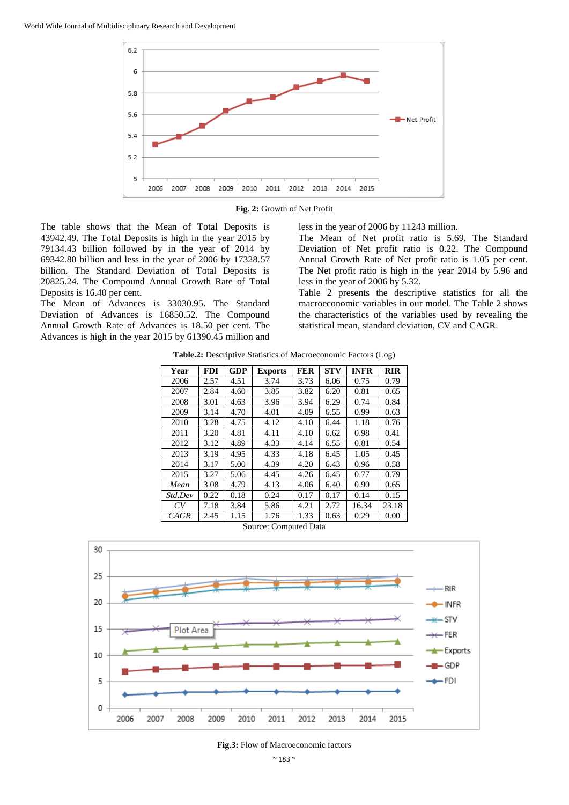

**Fig. 2:** Growth of Net Profit

The table shows that the Mean of Total Deposits is 43942.49. The Total Deposits is high in the year 2015 by 79134.43 billion followed by in the year of 2014 by 69342.80 billion and less in the year of 2006 by 17328.57 billion. The Standard Deviation of Total Deposits is 20825.24. The Compound Annual Growth Rate of Total Deposits is 16.40 per cent.

The Mean of Advances is 33030.95. The Standard Deviation of Advances is 16850.52. The Compound Annual Growth Rate of Advances is 18.50 per cent. The Advances is high in the year 2015 by 61390.45 million and less in the year of 2006 by 11243 million.

The Mean of Net profit ratio is 5.69. The Standard Deviation of Net profit ratio is 0.22. The Compound Annual Growth Rate of Net profit ratio is 1.05 per cent. The Net profit ratio is high in the year 2014 by 5.96 and less in the year of 2006 by 5.32.

Table 2 presents the descriptive statistics for all the macroeconomic variables in our model. The Table 2 shows the characteristics of the variables used by revealing the statistical mean, standard deviation, CV and CAGR.

**Table.2:** Descriptive Statistics of Macroeconomic Factors (Log)

| Year    | <b>FDI</b> | <b>GDP</b> | <b>Exports</b> | <b>FER</b> | <b>STV</b> | <b>INFR</b> | <b>RIR</b> |
|---------|------------|------------|----------------|------------|------------|-------------|------------|
| 2006    | 2.57       | 4.51       | 3.74           | 3.73       | 6.06       | 0.75        | 0.79       |
| 2007    | 2.84       | 4.60       | 3.85           | 3.82       | 6.20       | 0.81        | 0.65       |
| 2008    | 3.01       | 4.63       | 3.96           | 3.94       | 6.29       | 0.74        | 0.84       |
| 2009    | 3.14       | 4.70       | 4.01           | 4.09       | 6.55       | 0.99        | 0.63       |
| 2010    | 3.28       | 4.75       | 4.12           | 4.10       | 6.44       | 1.18        | 0.76       |
| 2011    | 3.20       | 4.81       | 4.11           | 4.10       | 6.62       | 0.98        | 0.41       |
| 2012    | 3.12       | 4.89       | 4.33           | 4.14       | 6.55       | 0.81        | 0.54       |
| 2013    | 3.19       | 4.95       | 4.33           | 4.18       | 6.45       | 1.05        | 0.45       |
| 2014    | 3.17       | 5.00       | 4.39           | 4.20       | 6.43       | 0.96        | 0.58       |
| 2015    | 3.27       | 5.06       | 4.45           | 4.26       | 6.45       | 0.77        | 0.79       |
| Mean    | 3.08       | 4.79       | 4.13           | 4.06       | 6.40       | 0.90        | 0.65       |
| Std.Dev | 0.22       | 0.18       | 0.24           | 0.17       | 0.17       | 0.14        | 0.15       |
| CV      | 7.18       | 3.84       | 5.86           | 4.21       | 2.72       | 16.34       | 23.18      |
| CAGR    | 2.45       | 1.15       | 1.76           | 1.33       | 0.63       | 0.29        | 0.00       |





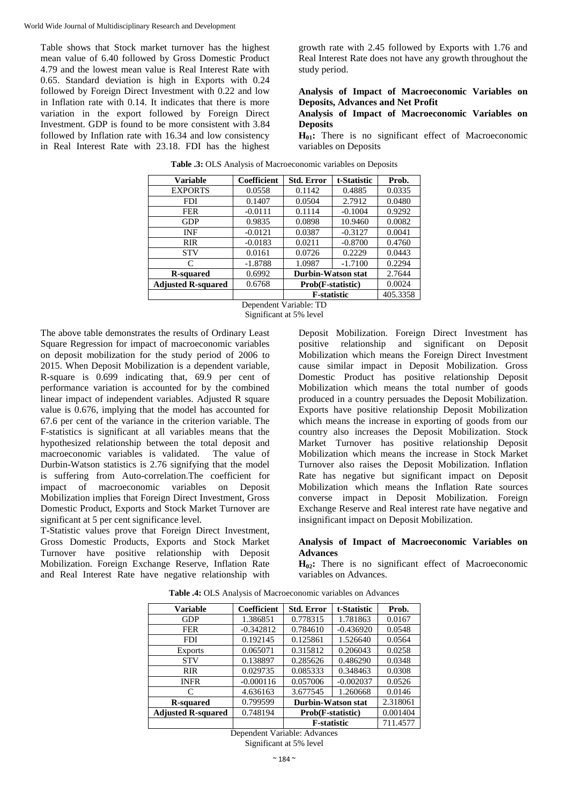Table shows that Stock market turnover has the highest mean value of 6.40 followed by Gross Domestic Product 4.79 and the lowest mean value is Real Interest Rate with 0.65. Standard deviation is high in Exports with 0.24 followed by Foreign Direct Investment with 0.22 and low in Inflation rate with 0.14. It indicates that there is more variation in the export followed by Foreign Direct Investment. GDP is found to be more consistent with 3.84 followed by Inflation rate with 16.34 and low consistency in Real Interest Rate with 23.18. FDI has the highest

growth rate with 2.45 followed by Exports with 1.76 and Real Interest Rate does not have any growth throughout the study period.

**Analysis of Impact of Macroeconomic Variables on Deposits, Advances and Net Profit**

**Analysis of Impact of Macroeconomic Variables on Deposits**

**H<sub>01</sub>**: There is no significant effect of Macroeconomic variables on Deposits

| <b>Variable</b>           | Coefficient | <b>Std. Error</b>         | t-Statistic | Prob.  |
|---------------------------|-------------|---------------------------|-------------|--------|
| <b>EXPORTS</b>            | 0.0558      | 0.1142                    | 0.4885      | 0.0335 |
| <b>FDI</b>                | 0.1407      | 0.0504                    | 2.7912      | 0.0480 |
| <b>FER</b>                | $-0.0111$   | 0.1114                    | $-0.1004$   | 0.9292 |
| <b>GDP</b>                | 0.9835      | 0.0898                    | 10.9460     | 0.0082 |
| INF                       | $-0.0121$   | 0.0387                    | $-0.3127$   | 0.0041 |
| <b>RIR</b>                | $-0.0183$   | 0.0211                    | $-0.8700$   | 0.4760 |
| <b>STV</b>                | 0.0161      | 0.2229<br>0.0726          |             | 0.0443 |
| C                         | $-1.8788$   | 1.0987                    | $-1.7100$   | 0.2294 |
| R-squared                 | 0.6992      | <b>Durbin-Watson stat</b> |             | 2.7644 |
| <b>Adjusted R-squared</b> | 0.6768      | Prob(F-statistic)         |             | 0.0024 |
|                           |             | <b>F-statistic</b>        | 405.3358    |        |

**Table .3:** OLS Analysis of Macroeconomic variables on Deposits

Dependent Variable: TD Significant at 5% level

The above table demonstrates the results of Ordinary Least Square Regression for impact of macroeconomic variables on deposit mobilization for the study period of 2006 to 2015. When Deposit Mobilization is a dependent variable, R-square is 0.699 indicating that, 69.9 per cent of performance variation is accounted for by the combined linear impact of independent variables. Adjusted R square value is 0.676, implying that the model has accounted for 67.6 per cent of the variance in the criterion variable. The F-statistics is significant at all variables means that the hypothesized relationship between the total deposit and macroeconomic variables is validated. The value of Durbin-Watson statistics is 2.76 signifying that the model is suffering from Auto-correlation.The coefficient for impact of macroeconomic variables on Deposit Mobilization implies that Foreign Direct Investment, Gross Domestic Product, Exports and Stock Market Turnover are significant at 5 per cent significance level.

T-Statistic values prove that Foreign Direct Investment, Gross Domestic Products, Exports and Stock Market Turnover have positive relationship with Deposit Mobilization. Foreign Exchange Reserve, Inflation Rate and Real Interest Rate have negative relationship with

Deposit Mobilization. Foreign Direct Investment has positive relationship and significant on Deposit Mobilization which means the Foreign Direct Investment cause similar impact in Deposit Mobilization. Gross Domestic Product has positive relationship Deposit Mobilization which means the total number of goods produced in a country persuades the Deposit Mobilization. Exports have positive relationship Deposit Mobilization which means the increase in exporting of goods from our country also increases the Deposit Mobilization. Stock Market Turnover has positive relationship Deposit Mobilization which means the increase in Stock Market Turnover also raises the Deposit Mobilization. Inflation Rate has negative but significant impact on Deposit Mobilization which means the Inflation Rate sources converse impact in Deposit Mobilization. Foreign Exchange Reserve and Real interest rate have negative and insignificant impact on Deposit Mobilization.

## **Analysis of Impact of Macroeconomic Variables on Advances**

 $H_0$ : There is no significant effect of Macroeconomic variables on Advances.

| <b>Variable</b>           | <b>Coefficient</b> | <b>Std. Error</b>  | t-Statistic | Prob.    |
|---------------------------|--------------------|--------------------|-------------|----------|
| <b>GDP</b>                | 1.386851           | 0.778315           | 1.781863    | 0.0167   |
| FER                       | $-0.342812$        | 0.784610           | $-0.436920$ | 0.0548   |
| <b>FDI</b>                | 0.192145           | 0.125861           | 1.526640    | 0.0564   |
| <b>Exports</b>            | 0.065071           | 0.315812           | 0.206043    | 0.0258   |
| <b>STV</b>                | 0.138897           | 0.285626           | 0.486290    | 0.0348   |
| <b>RIR</b>                | 0.029735           | 0.085333           | 0.348463    | 0.0308   |
| <b>INFR</b>               | $-0.000116$        | 0.057006           | $-0.002037$ | 0.0526   |
| C                         | 4.636163           | 3.677545           | 1.260668    | 0.0146   |
| <b>R-squared</b>          | 0.799599           | Durbin-Watson stat |             | 2.318061 |
| <b>Adjusted R-squared</b> | 0.748194           | Prob(F-statistic)  |             | 0.001404 |
|                           |                    | F-statistic        |             | 711.4577 |

**Table .4:** OLS Analysis of Macroeconomic variables on Advances

Dependent Variable: Advances

Significant at 5% level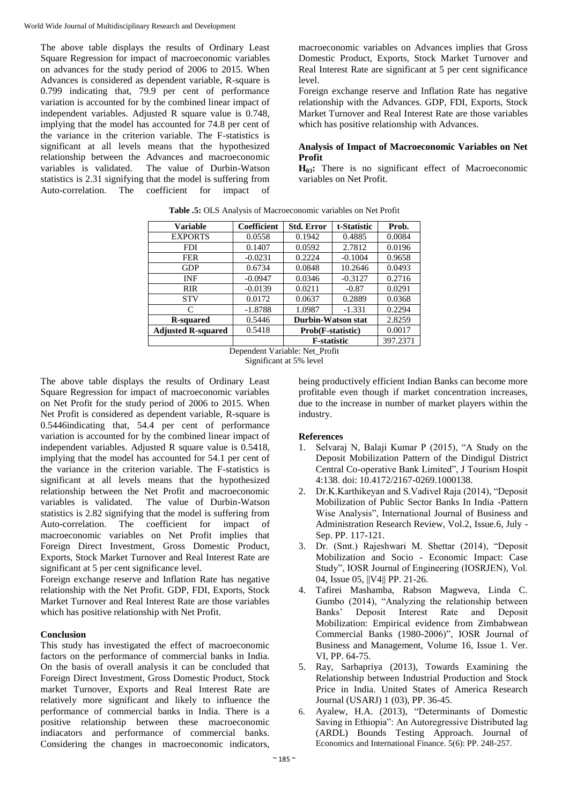The above table displays the results of Ordinary Least Square Regression for impact of macroeconomic variables on advances for the study period of 2006 to 2015. When Advances is considered as dependent variable, R-square is 0.799 indicating that, 79.9 per cent of performance variation is accounted for by the combined linear impact of independent variables. Adjusted R square value is 0.748, implying that the model has accounted for 74.8 per cent of the variance in the criterion variable. The F-statistics is significant at all levels means that the hypothesized relationship between the Advances and macroeconomic variables is validated. The value of Durbin-Watson statistics is 2.31 signifying that the model is suffering from Auto-correlation. The coefficient for impact of

macroeconomic variables on Advances implies that Gross Domestic Product, Exports, Stock Market Turnover and Real Interest Rate are significant at 5 per cent significance level.

Foreign exchange reserve and Inflation Rate has negative relationship with the Advances. GDP, FDI, Exports, Stock Market Turnover and Real Interest Rate are those variables which has positive relationship with Advances.

## **Analysis of Impact of Macroeconomic Variables on Net Profit**

**H03:** There is no significant effect of Macroeconomic variables on Net Profit.

| <b>Variable</b>           | Coefficient | <b>Std. Error</b>         | t-Statistic | Prob.  |
|---------------------------|-------------|---------------------------|-------------|--------|
| <b>EXPORTS</b>            | 0.0558      | 0.1942                    | 0.4885      | 0.0084 |
| FDI                       | 0.1407      | 0.0592                    | 2.7812      | 0.0196 |
| <b>FER</b>                | $-0.0231$   | 0.2224                    | $-0.1004$   | 0.9658 |
| <b>GDP</b>                | 0.6734      | 0.0848                    | 10.2646     | 0.0493 |
| <b>INF</b>                | $-0.0947$   | 0.0346                    | $-0.3127$   | 0.2716 |
| <b>RIR</b>                | $-0.0139$   | 0.0211                    | $-0.87$     | 0.0291 |
| <b>STV</b>                | 0.0172      | 0.0637                    | 0.2889      | 0.0368 |
| C                         | $-1.8788$   | 1.0987                    | $-1.331$    | 0.2294 |
| <b>R-squared</b>          | 0.5446      | <b>Durbin-Watson stat</b> |             | 2.8259 |
| <b>Adjusted R-squared</b> | 0.5418      | Prob(F-statistic)         |             | 0.0017 |
|                           |             | <b>F</b> -statistic       | 397.2371    |        |

**Table .5:** OLS Analysis of Macroeconomic variables on Net Profit

Dependent Variable: Net\_Profit Significant at 5% level

The above table displays the results of Ordinary Least Square Regression for impact of macroeconomic variables on Net Profit for the study period of 2006 to 2015. When Net Profit is considered as dependent variable, R-square is 0.5446indicating that, 54.4 per cent of performance variation is accounted for by the combined linear impact of independent variables. Adjusted R square value is  $0.5418$ , implying that the model has accounted for 54.1 per cent of the variance in the criterion variable. The F-statistics is significant at all levels means that the hypothesized relationship between the Net Profit and macroeconomic variables is validated. The value of Durbin-Watson statistics is 2.82 signifying that the model is suffering from Auto-correlation. The coefficient for impact of macroeconomic variables on Net Profit implies that Foreign Direct Investment, Gross Domestic Product, Exports, Stock Market Turnover and Real Interest Rate are significant at 5 per cent significance level.

Foreign exchange reserve and Inflation Rate has negative relationship with the Net Profit. GDP, FDI, Exports, Stock Market Turnover and Real Interest Rate are those variables which has positive relationship with Net Profit.

# **Conclusion**

This study has investigated the effect of macroeconomic factors on the performance of commercial banks in India. On the basis of overall analysis it can be concluded that Foreign Direct Investment, Gross Domestic Product, Stock market Turnover, Exports and Real Interest Rate are relatively more significant and likely to influence the performance of commercial banks in India. There is a positive relationship between these macroeconomic indiacators and performance of commercial banks. Considering the changes in macroeconomic indicators,

being productively efficient Indian Banks can become more profitable even though if market concentration increases, due to the increase in number of market players within the industry.

# **References**

- 1. Selvaraj N, Balaji Kumar P (2015), "A Study on the Deposit Mobilization Pattern of the Dindigul District Central Co-operative Bank Limited", J Tourism Hospit 4:138. doi: 10.4172/2167-0269.1000138.
- 2. Dr.K.Karthikeyan and S.Vadivel Raja (2014), "Deposit Mobilization of Public Sector Banks In India -Pattern Wise Analysis", International Journal of Business and Administration Research Review, Vol.2, Issue.6, July - Sep. PP. 117-121.
- 3. Dr. (Smt.) Rajeshwari M. Shettar (2014), "Deposit Mobilization and Socio - Economic Impact: Case Study", IOSR Journal of Engineering (IOSRJEN), Vol. 04, Issue 05, ||V4|| PP. 21-26.
- 4. Tafirei Mashamba, Rabson Magweva, Linda C. Gumbo (2014), "Analyzing the relationship between Banks' Deposit Interest Rate and Deposit Mobilization: Empirical evidence from Zimbabwean Commercial Banks (1980-2006)", IOSR Journal of Business and Management, Volume 16, Issue 1. Ver. VI, PP. 64-75.
- 5. Ray, Sarbapriya (2013), Towards Examining the Relationship between Industrial Production and Stock Price in India. United States of America Research Journal (USARJ) 1 (03), PP. 36-45.
- 6. Ayalew, H.A. (2013), "Determinants of Domestic Saving in Ethiopia": An Autoregressive Distributed lag (ARDL) Bounds Testing Approach. Journal of Economics and International Finance. 5(6): PP. 248-257.